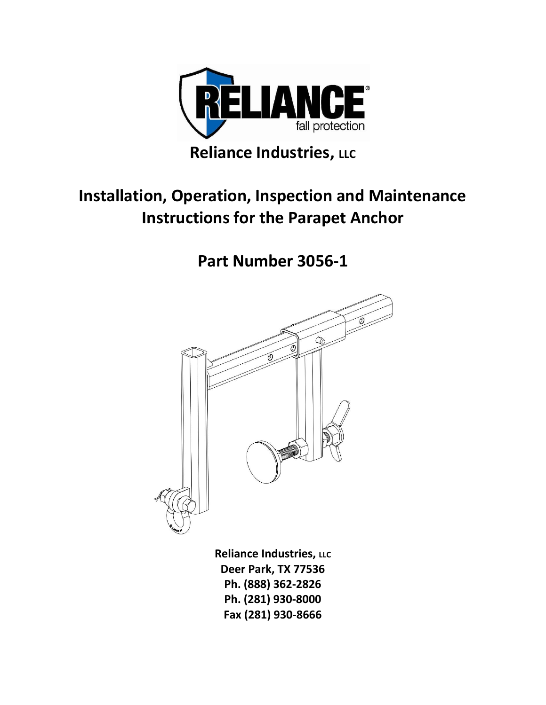

## **Installation, Operation, Inspection and Maintenance Instructions for the Parapet Anchor**

**Part Number 3056-1**



**Reliance Industries, LLC Deer Park, TX 77536 Ph. (888) 362-2826 Ph. (281) 930-8000 Fax (281) 930-8666**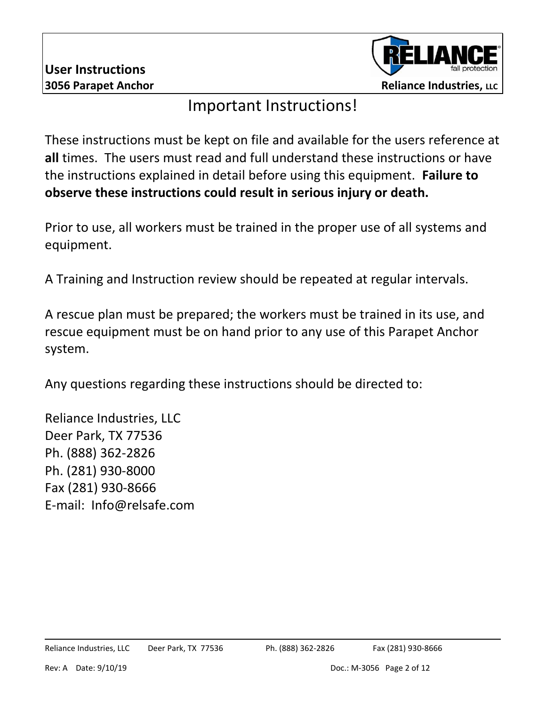

#### Important Instructions!

These instructions must be kept on file and available for the users reference at **all** times. The users must read and full understand these instructions or have the instructions explained in detail before using this equipment. **Failure to observe these instructions could result in serious injury or death.**

Prior to use, all workers must be trained in the proper use of all systems and equipment.

A Training and Instruction review should be repeated at regular intervals.

A rescue plan must be prepared; the workers must be trained in its use, and rescue equipment must be on hand prior to any use of this Parapet Anchor system.

Any questions regarding these instructions should be directed to:

Reliance Industries, LLC Deer Park, TX 77536 Ph. (888) 362-2826 Ph. (281) 930-8000 Fax (281) 930-8666 E-mail: Info@relsafe.com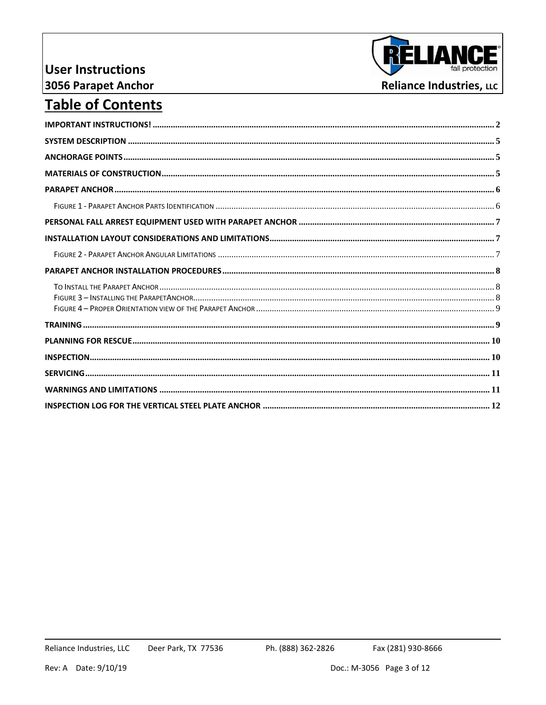#### **User Instructions** 3056 Parapet Anchor



#### **Table of Contents**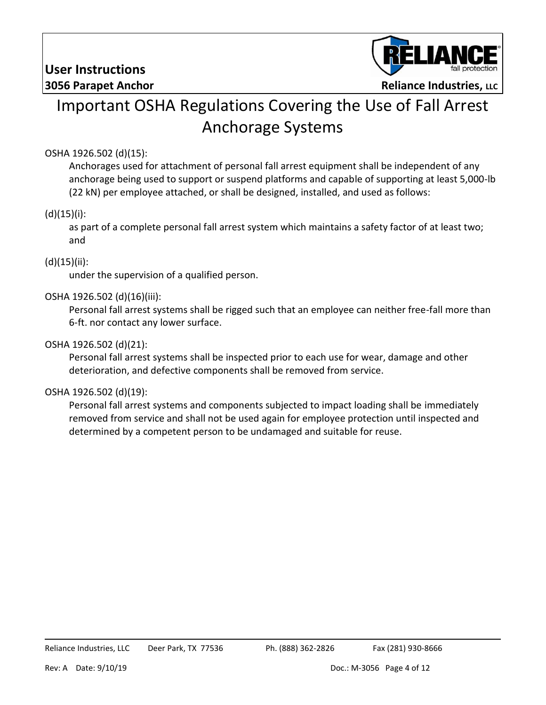

## Important OSHA Regulations Covering the Use of Fall Arrest Anchorage Systems

#### OSHA 1926.502 (d)(15):

Anchorages used for attachment of personal fall arrest equipment shall be independent of any anchorage being used to support or suspend platforms and capable of supporting at least 5,000-lb (22 kN) per employee attached, or shall be designed, installed, and used as follows:

#### $(d)(15)(i)$ :

as part of a complete personal fall arrest system which maintains a safety factor of at least two; and

#### (d)(15)(ii):

under the supervision of a qualified person.

#### OSHA 1926.502 (d)(16)(iii):

Personal fall arrest systems shall be rigged such that an employee can neither free-fall more than 6-ft. nor contact any lower surface.

#### OSHA 1926.502 (d)(21):

Personal fall arrest systems shall be inspected prior to each use for wear, damage and other deterioration, and defective components shall be removed from service.

#### OSHA 1926.502 (d)(19):

Personal fall arrest systems and components subjected to impact loading shall be immediately removed from service and shall not be used again for employee protection until inspected and determined by a competent person to be undamaged and suitable for reuse.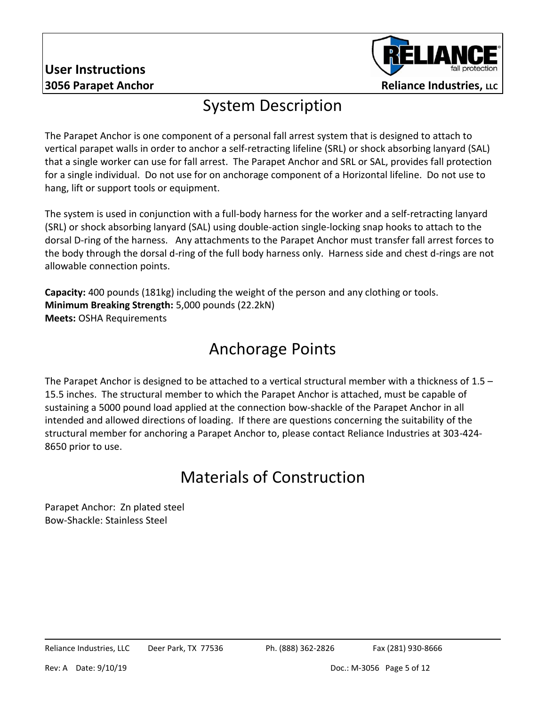# **User Instructions**



### System Description

The Parapet Anchor is one component of a personal fall arrest system that is designed to attach to vertical parapet walls in order to anchor a self-retracting lifeline (SRL) or shock absorbing lanyard (SAL) that a single worker can use for fall arrest. The Parapet Anchor and SRL or SAL, provides fall protection for a single individual. Do not use for on anchorage component of a Horizontal lifeline. Do not use to hang, lift or support tools or equipment.

The system is used in conjunction with a full-body harness for the worker and a self-retracting lanyard (SRL) or shock absorbing lanyard (SAL) using double-action single-locking snap hooks to attach to the dorsal D-ring of the harness. Any attachments to the Parapet Anchor must transfer fall arrest forces to the body through the dorsal d-ring of the full body harness only. Harness side and chest d-rings are not allowable connection points.

**Capacity:** 400 pounds (181kg) including the weight of the person and any clothing or tools. **Minimum Breaking Strength:** 5,000 pounds (22.2kN) **Meets:** OSHA Requirements

## Anchorage Points

The Parapet Anchor is designed to be attached to a vertical structural member with a thickness of 1.5 – 15.5 inches. The structural member to which the Parapet Anchor is attached, must be capable of sustaining a 5000 pound load applied at the connection bow-shackle of the Parapet Anchor in all intended and allowed directions of loading. If there are questions concerning the suitability of the structural member for anchoring a Parapet Anchor to, please contact Reliance Industries at 303-424- 8650 prior to use.

# Materials of Construction

Parapet Anchor: Zn plated steel Bow-Shackle: Stainless Steel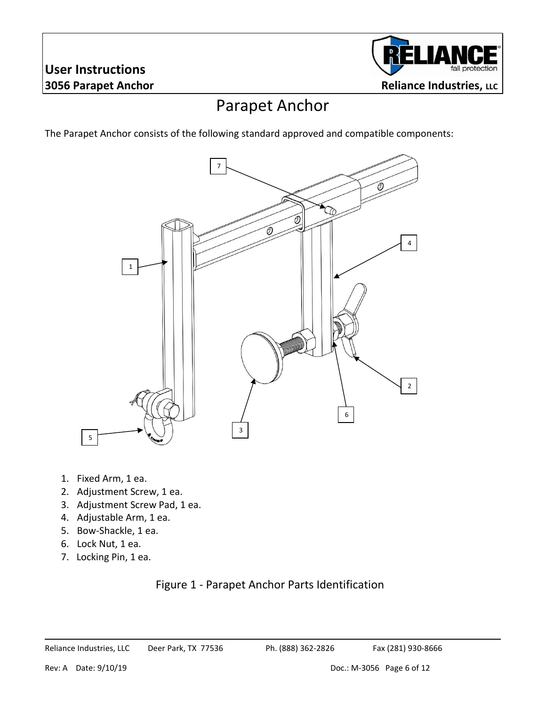# **User Instructions**



## Parapet Anchor

The Parapet Anchor consists of the following standard approved and compatible components:



- 1. Fixed Arm, 1 ea.
- 2. Adjustment Screw, 1 ea.
- 3. Adjustment Screw Pad, 1 ea.
- 4. Adjustable Arm, 1 ea.
- 5. Bow-Shackle, 1 ea.
- 6. Lock Nut, 1 ea.
- 7. Locking Pin, 1 ea.

#### Figure 1 - Parapet Anchor Parts Identification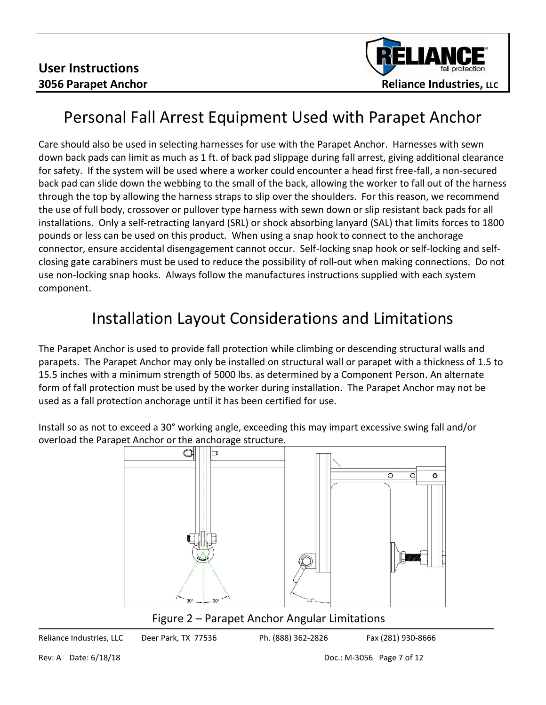

## Personal Fall Arrest Equipment Used with Parapet Anchor

Care should also be used in selecting harnesses for use with the Parapet Anchor. Harnesses with sewn down back pads can limit as much as 1 ft. of back pad slippage during fall arrest, giving additional clearance for safety. If the system will be used where a worker could encounter a head first free-fall, a non-secured back pad can slide down the webbing to the small of the back, allowing the worker to fall out of the harness through the top by allowing the harness straps to slip over the shoulders. For this reason, we recommend the use of full body, crossover or pullover type harness with sewn down or slip resistant back pads for all installations. Only a self-retracting lanyard (SRL) or shock absorbing lanyard (SAL) that limits forces to 1800 pounds or less can be used on this product. When using a snap hook to connect to the anchorage connector, ensure accidental disengagement cannot occur. Self-locking snap hook or self-locking and selfclosing gate carabiners must be used to reduce the possibility of roll-out when making connections. Do not use non-locking snap hooks. Always follow the manufactures instructions supplied with each system component.

## Installation Layout Considerations and Limitations

The Parapet Anchor is used to provide fall protection while climbing or descending structural walls and parapets. The Parapet Anchor may only be installed on structural wall or parapet with a thickness of 1.5 to 15.5 inches with a minimum strength of 5000 lbs. as determined by a Component Person. An alternate form of fall protection must be used by the worker during installation. The Parapet Anchor may not be used as a fall protection anchorage until it has been certified for use.

Install so as not to exceed a 30° working angle, exceeding this may impart excessive swing fall and/or overload the Parapet Anchor or the anchorage structure.



Figure 2 – Parapet Anchor Angular Limitations

Reliance Industries, LLC Deer Park, TX 77536 Ph. (888) 362-2826 Fax (281) 930-8666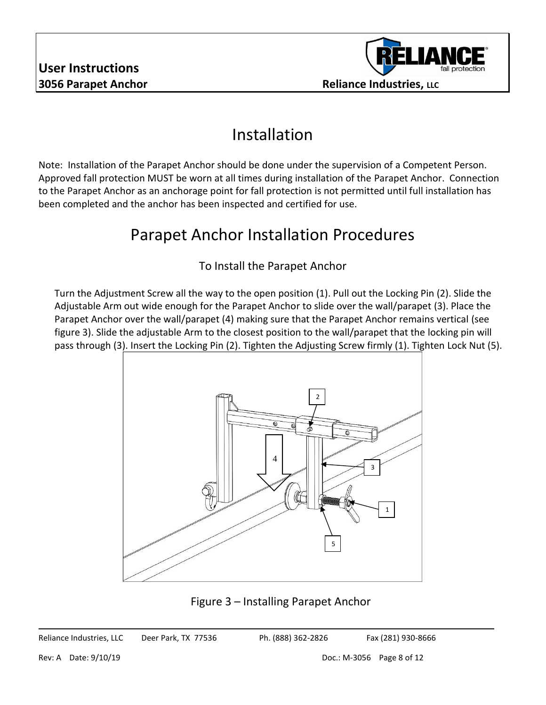

## Installation

Note: Installation of the Parapet Anchor should be done under the supervision of a Competent Person. Approved fall protection MUST be worn at all times during installation of the Parapet Anchor. Connection to the Parapet Anchor as an anchorage point for fall protection is not permitted until full installation has been completed and the anchor has been inspected and certified for use.

#### Parapet Anchor Installation Procedures

#### To Install the Parapet Anchor

Turn the Adjustment Screw all the way to the open position (1). Pull out the Locking Pin (2). Slide the Adjustable Arm out wide enough for the Parapet Anchor to slide over the wall/parapet (3). Place the Parapet Anchor over the wall/parapet (4) making sure that the Parapet Anchor remains vertical (see figure 3). Slide the adjustable Arm to the closest position to the wall/parapet that the locking pin will pass through (3). Insert the Locking Pin (2). Tighten the Adjusting Screw firmly (1). Tighten Lock Nut (5).



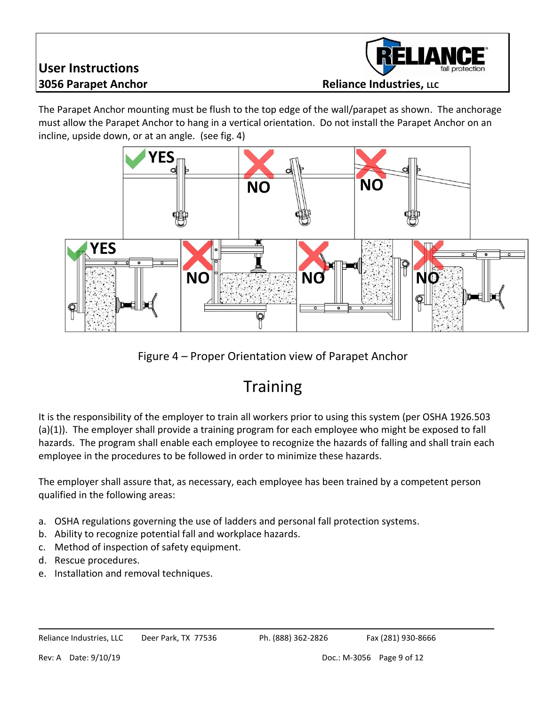

**1056** Parapet Anchor **Reliance Industries**, LLC

The Parapet Anchor mounting must be flush to the top edge of the wall/parapet as shown. The anchorage must allow the Parapet Anchor to hang in a vertical orientation. Do not install the Parapet Anchor on an incline, upside down, or at an angle. (see fig. 4)





## **Training**

It is the responsibility of the employer to train all workers prior to using this system (per OSHA 1926.503 (a)(1)). The employer shall provide a training program for each employee who might be exposed to fall hazards. The program shall enable each employee to recognize the hazards of falling and shall train each employee in the procedures to be followed in order to minimize these hazards.

The employer shall assure that, as necessary, each employee has been trained by a competent person qualified in the following areas:

- a. OSHA regulations governing the use of ladders and personal fall protection systems.
- b. Ability to recognize potential fall and workplace hazards.
- c. Method of inspection of safety equipment.
- d. Rescue procedures.
- e. Installation and removal techniques.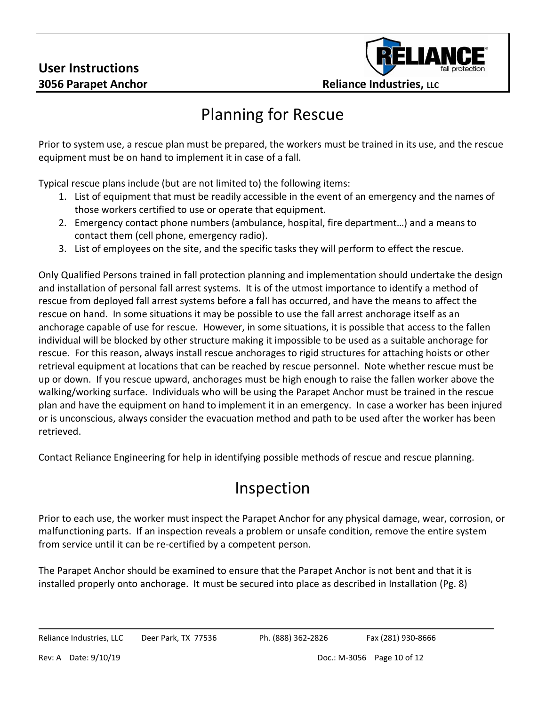

## Planning for Rescue

Prior to system use, a rescue plan must be prepared, the workers must be trained in its use, and the rescue equipment must be on hand to implement it in case of a fall.

Typical rescue plans include (but are not limited to) the following items:

- 1. List of equipment that must be readily accessible in the event of an emergency and the names of those workers certified to use or operate that equipment.
- 2. Emergency contact phone numbers (ambulance, hospital, fire department…) and a means to contact them (cell phone, emergency radio).
- 3. List of employees on the site, and the specific tasks they will perform to effect the rescue.

Only Qualified Persons trained in fall protection planning and implementation should undertake the design and installation of personal fall arrest systems. It is of the utmost importance to identify a method of rescue from deployed fall arrest systems before a fall has occurred, and have the means to affect the rescue on hand. In some situations it may be possible to use the fall arrest anchorage itself as an anchorage capable of use for rescue. However, in some situations, it is possible that access to the fallen individual will be blocked by other structure making it impossible to be used as a suitable anchorage for rescue. For this reason, always install rescue anchorages to rigid structures for attaching hoists or other retrieval equipment at locations that can be reached by rescue personnel. Note whether rescue must be up or down. If you rescue upward, anchorages must be high enough to raise the fallen worker above the walking/working surface. Individuals who will be using the Parapet Anchor must be trained in the rescue plan and have the equipment on hand to implement it in an emergency. In case a worker has been injured or is unconscious, always consider the evacuation method and path to be used after the worker has been retrieved.

Contact Reliance Engineering for help in identifying possible methods of rescue and rescue planning.

#### Inspection

Prior to each use, the worker must inspect the Parapet Anchor for any physical damage, wear, corrosion, or malfunctioning parts. If an inspection reveals a problem or unsafe condition, remove the entire system from service until it can be re-certified by a competent person.

The Parapet Anchor should be examined to ensure that the Parapet Anchor is not bent and that it is installed properly onto anchorage. It must be secured into place as described in Installation (Pg. 8)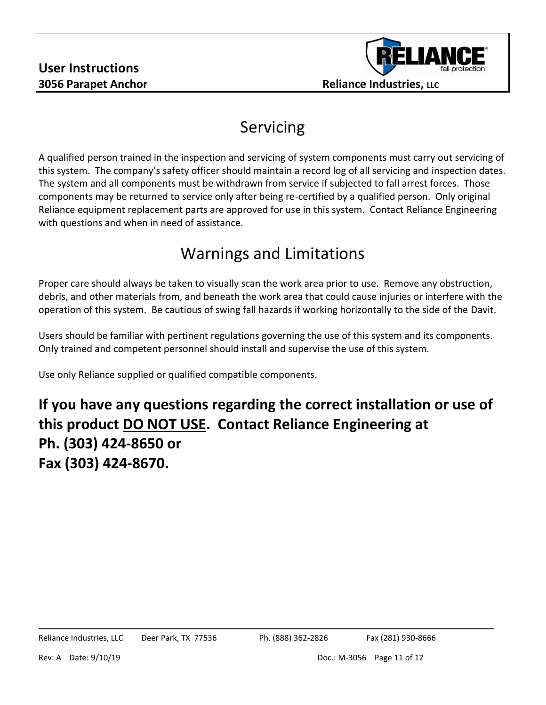

## Servicing

A qualified person trained in the inspection and servicing of system components must carry out servicing of this system. The company's safety officer should maintain a record log of all servicing and inspection dates. The system and all components must be withdrawn from service if subjected to fall arrest forces. Those components may be returned to service only after being re-certified by a qualified person. Only original Reliance equipment replacement parts are approved for use in this system. Contact Reliance Engineering with questions and when in need of assistance.

## Warnings and Limitations

Proper care should always be taken to visually scan the work area prior to use. Remove any obstruction, debris, and other materials from, and beneath the work area that could cause injuries or interfere with the operation of this system. Be cautious of swing fall hazards if working horizontally to the side of the Davit.

Users should be familiar with pertinent regulations governing the use of this system and its components. Only trained and competent personnel should install and supervise the use of this system.

Use only Reliance supplied or qualified compatible components.

**If you have any questions regarding the correct installation or use of this product DO NOT USE. Contact Reliance Engineering at Ph. (303) 424-8650 or Fax (303) 424-8670.**